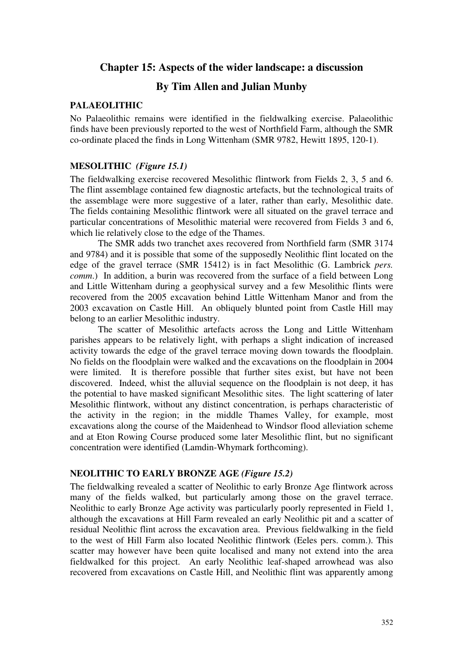# **Chapter 15: Aspects of the wider landscape: a discussion**

# **By Tim Allen and Julian Munby**

### **PALAEOLITHIC**

No Palaeolithic remains were identified in the fieldwalking exercise. Palaeolithic finds have been previously reported to the west of Northfield Farm, although the SMR co-ordinate placed the finds in Long Wittenham (SMR 9782, Hewitt 1895, 120-1).

#### **MESOLITHIC** *(Figure 15.1)*

The fieldwalking exercise recovered Mesolithic flintwork from Fields 2, 3, 5 and 6. The flint assemblage contained few diagnostic artefacts, but the technological traits of the assemblage were more suggestive of a later, rather than early, Mesolithic date. The fields containing Mesolithic flintwork were all situated on the gravel terrace and particular concentrations of Mesolithic material were recovered from Fields 3 and 6, which lie relatively close to the edge of the Thames.

The SMR adds two tranchet axes recovered from Northfield farm (SMR 3174 and 9784) and it is possible that some of the supposedly Neolithic flint located on the edge of the gravel terrace (SMR 15412) is in fact Mesolithic (G. Lambrick *pers. comm*.) In addition, a burin was recovered from the surface of a field between Long and Little Wittenham during a geophysical survey and a few Mesolithic flints were recovered from the 2005 excavation behind Little Wittenham Manor and from the 2003 excavation on Castle Hill. An obliquely blunted point from Castle Hill may belong to an earlier Mesolithic industry.

The scatter of Mesolithic artefacts across the Long and Little Wittenham parishes appears to be relatively light, with perhaps a slight indication of increased activity towards the edge of the gravel terrace moving down towards the floodplain. No fields on the floodplain were walked and the excavations on the floodplain in 2004 were limited. It is therefore possible that further sites exist, but have not been discovered. Indeed, whist the alluvial sequence on the floodplain is not deep, it has the potential to have masked significant Mesolithic sites. The light scattering of later Mesolithic flintwork, without any distinct concentration, is perhaps characteristic of the activity in the region; in the middle Thames Valley, for example, most excavations along the course of the Maidenhead to Windsor flood alleviation scheme and at Eton Rowing Course produced some later Mesolithic flint, but no significant concentration were identified (Lamdin-Whymark forthcoming).

#### **NEOLITHIC TO EARLY BRONZE AGE** *(Figure 15.2)*

The fieldwalking revealed a scatter of Neolithic to early Bronze Age flintwork across many of the fields walked, but particularly among those on the gravel terrace. Neolithic to early Bronze Age activity was particularly poorly represented in Field 1, although the excavations at Hill Farm revealed an early Neolithic pit and a scatter of residual Neolithic flint across the excavation area. Previous fieldwalking in the field to the west of Hill Farm also located Neolithic flintwork (Eeles pers. comm.). This scatter may however have been quite localised and many not extend into the area fieldwalked for this project. An early Neolithic leaf-shaped arrowhead was also recovered from excavations on Castle Hill, and Neolithic flint was apparently among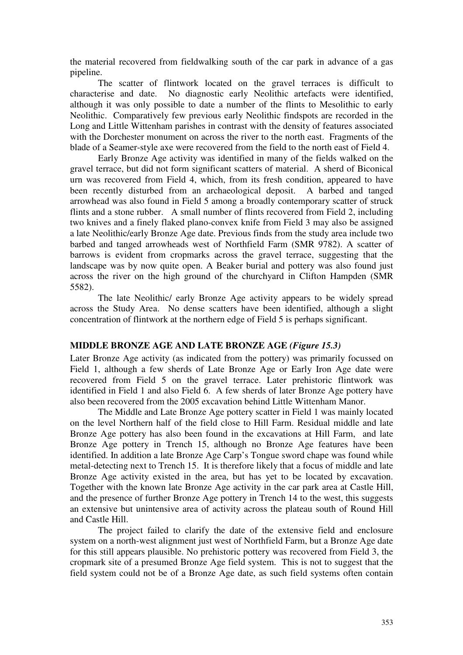the material recovered from fieldwalking south of the car park in advance of a gas pipeline.

The scatter of flintwork located on the gravel terraces is difficult to characterise and date. No diagnostic early Neolithic artefacts were identified, although it was only possible to date a number of the flints to Mesolithic to early Neolithic. Comparatively few previous early Neolithic findspots are recorded in the Long and Little Wittenham parishes in contrast with the density of features associated with the Dorchester monument on across the river to the north east. Fragments of the blade of a Seamer-style axe were recovered from the field to the north east of Field 4.

Early Bronze Age activity was identified in many of the fields walked on the gravel terrace, but did not form significant scatters of material. A sherd of Biconical urn was recovered from Field 4, which, from its fresh condition, appeared to have been recently disturbed from an archaeological deposit. A barbed and tanged arrowhead was also found in Field 5 among a broadly contemporary scatter of struck flints and a stone rubber. A small number of flints recovered from Field 2, including two knives and a finely flaked plano-convex knife from Field 3 may also be assigned a late Neolithic/early Bronze Age date. Previous finds from the study area include two barbed and tanged arrowheads west of Northfield Farm (SMR 9782). A scatter of barrows is evident from cropmarks across the gravel terrace, suggesting that the landscape was by now quite open. A Beaker burial and pottery was also found just across the river on the high ground of the churchyard in Clifton Hampden (SMR 5582).

The late Neolithic/ early Bronze Age activity appears to be widely spread across the Study Area. No dense scatters have been identified, although a slight concentration of flintwork at the northern edge of Field 5 is perhaps significant.

### **MIDDLE BRONZE AGE AND LATE BRONZE AGE** *(Figure 15.3)*

Later Bronze Age activity (as indicated from the pottery) was primarily focussed on Field 1, although a few sherds of Late Bronze Age or Early Iron Age date were recovered from Field 5 on the gravel terrace. Later prehistoric flintwork was identified in Field 1 and also Field 6. A few sherds of later Bronze Age pottery have also been recovered from the 2005 excavation behind Little Wittenham Manor.

The Middle and Late Bronze Age pottery scatter in Field 1 was mainly located on the level Northern half of the field close to Hill Farm. Residual middle and late Bronze Age pottery has also been found in the excavations at Hill Farm, and late Bronze Age pottery in Trench 15, although no Bronze Age features have been identified. In addition a late Bronze Age Carp's Tongue sword chape was found while metal-detecting next to Trench 15. It is therefore likely that a focus of middle and late Bronze Age activity existed in the area, but has yet to be located by excavation. Together with the known late Bronze Age activity in the car park area at Castle Hill, and the presence of further Bronze Age pottery in Trench 14 to the west, this suggests an extensive but unintensive area of activity across the plateau south of Round Hill and Castle Hill.

 The project failed to clarify the date of the extensive field and enclosure system on a north-west alignment just west of Northfield Farm, but a Bronze Age date for this still appears plausible. No prehistoric pottery was recovered from Field 3, the cropmark site of a presumed Bronze Age field system. This is not to suggest that the field system could not be of a Bronze Age date, as such field systems often contain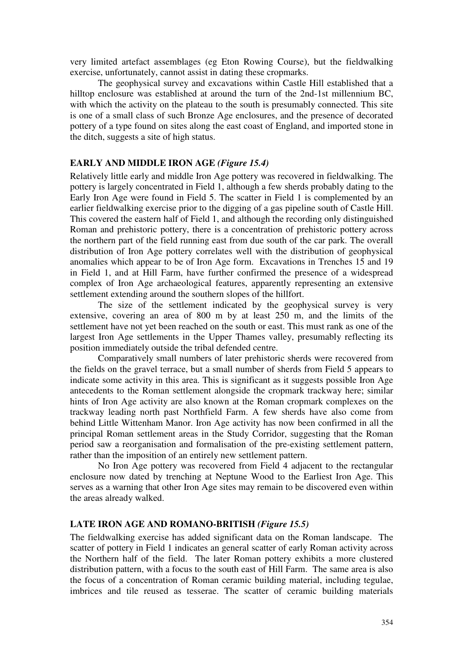very limited artefact assemblages (eg Eton Rowing Course), but the fieldwalking exercise, unfortunately, cannot assist in dating these cropmarks.

The geophysical survey and excavations within Castle Hill established that a hilltop enclosure was established at around the turn of the 2nd-1st millennium BC, with which the activity on the plateau to the south is presumably connected. This site is one of a small class of such Bronze Age enclosures, and the presence of decorated pottery of a type found on sites along the east coast of England, and imported stone in the ditch, suggests a site of high status.

# **EARLY AND MIDDLE IRON AGE** *(Figure 15.4)*

Relatively little early and middle Iron Age pottery was recovered in fieldwalking. The pottery is largely concentrated in Field 1, although a few sherds probably dating to the Early Iron Age were found in Field 5. The scatter in Field 1 is complemented by an earlier fieldwalking exercise prior to the digging of a gas pipeline south of Castle Hill. This covered the eastern half of Field 1, and although the recording only distinguished Roman and prehistoric pottery, there is a concentration of prehistoric pottery across the northern part of the field running east from due south of the car park. The overall distribution of Iron Age pottery correlates well with the distribution of geophysical anomalies which appear to be of Iron Age form. Excavations in Trenches 15 and 19 in Field 1, and at Hill Farm, have further confirmed the presence of a widespread complex of Iron Age archaeological features, apparently representing an extensive settlement extending around the southern slopes of the hillfort.

The size of the settlement indicated by the geophysical survey is very extensive, covering an area of 800 m by at least 250 m, and the limits of the settlement have not yet been reached on the south or east. This must rank as one of the largest Iron Age settlements in the Upper Thames valley, presumably reflecting its position immediately outside the tribal defended centre.

Comparatively small numbers of later prehistoric sherds were recovered from the fields on the gravel terrace, but a small number of sherds from Field 5 appears to indicate some activity in this area. This is significant as it suggests possible Iron Age antecedents to the Roman settlement alongside the cropmark trackway here; similar hints of Iron Age activity are also known at the Roman cropmark complexes on the trackway leading north past Northfield Farm. A few sherds have also come from behind Little Wittenham Manor. Iron Age activity has now been confirmed in all the principal Roman settlement areas in the Study Corridor, suggesting that the Roman period saw a reorganisation and formalisation of the pre-existing settlement pattern, rather than the imposition of an entirely new settlement pattern.

No Iron Age pottery was recovered from Field 4 adjacent to the rectangular enclosure now dated by trenching at Neptune Wood to the Earliest Iron Age. This serves as a warning that other Iron Age sites may remain to be discovered even within the areas already walked.

## **LATE IRON AGE AND ROMANO-BRITISH** *(Figure 15.5)*

The fieldwalking exercise has added significant data on the Roman landscape. The scatter of pottery in Field 1 indicates an general scatter of early Roman activity across the Northern half of the field. The later Roman pottery exhibits a more clustered distribution pattern, with a focus to the south east of Hill Farm. The same area is also the focus of a concentration of Roman ceramic building material, including tegulae, imbrices and tile reused as tesserae. The scatter of ceramic building materials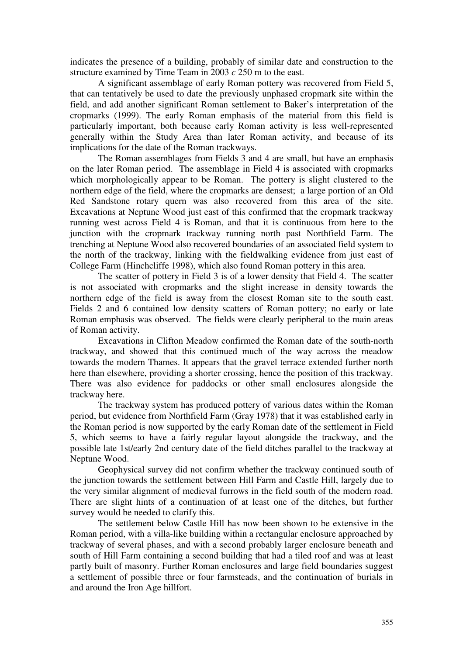indicates the presence of a building, probably of similar date and construction to the structure examined by Time Team in 2003 *c* 250 m to the east.

A significant assemblage of early Roman pottery was recovered from Field 5, that can tentatively be used to date the previously unphased cropmark site within the field, and add another significant Roman settlement to Baker's interpretation of the cropmarks (1999). The early Roman emphasis of the material from this field is particularly important, both because early Roman activity is less well-represented generally within the Study Area than later Roman activity, and because of its implications for the date of the Roman trackways.

The Roman assemblages from Fields 3 and 4 are small, but have an emphasis on the later Roman period. The assemblage in Field 4 is associated with cropmarks which morphologically appear to be Roman. The pottery is slight clustered to the northern edge of the field, where the cropmarks are densest; a large portion of an Old Red Sandstone rotary quern was also recovered from this area of the site. Excavations at Neptune Wood just east of this confirmed that the cropmark trackway running west across Field 4 is Roman, and that it is continuous from here to the junction with the cropmark trackway running north past Northfield Farm. The trenching at Neptune Wood also recovered boundaries of an associated field system to the north of the trackway, linking with the fieldwalking evidence from just east of College Farm (Hinchcliffe 1998), which also found Roman pottery in this area.

The scatter of pottery in Field 3 is of a lower density that Field 4. The scatter is not associated with cropmarks and the slight increase in density towards the northern edge of the field is away from the closest Roman site to the south east. Fields 2 and 6 contained low density scatters of Roman pottery; no early or late Roman emphasis was observed. The fields were clearly peripheral to the main areas of Roman activity.

Excavations in Clifton Meadow confirmed the Roman date of the south-north trackway, and showed that this continued much of the way across the meadow towards the modern Thames. It appears that the gravel terrace extended further north here than elsewhere, providing a shorter crossing, hence the position of this trackway. There was also evidence for paddocks or other small enclosures alongside the trackway here.

The trackway system has produced pottery of various dates within the Roman period, but evidence from Northfield Farm (Gray 1978) that it was established early in the Roman period is now supported by the early Roman date of the settlement in Field 5, which seems to have a fairly regular layout alongside the trackway, and the possible late 1st/early 2nd century date of the field ditches parallel to the trackway at Neptune Wood.

Geophysical survey did not confirm whether the trackway continued south of the junction towards the settlement between Hill Farm and Castle Hill, largely due to the very similar alignment of medieval furrows in the field south of the modern road. There are slight hints of a continuation of at least one of the ditches, but further survey would be needed to clarify this.

The settlement below Castle Hill has now been shown to be extensive in the Roman period, with a villa-like building within a rectangular enclosure approached by trackway of several phases, and with a second probably larger enclosure beneath and south of Hill Farm containing a second building that had a tiled roof and was at least partly built of masonry. Further Roman enclosures and large field boundaries suggest a settlement of possible three or four farmsteads, and the continuation of burials in and around the Iron Age hillfort.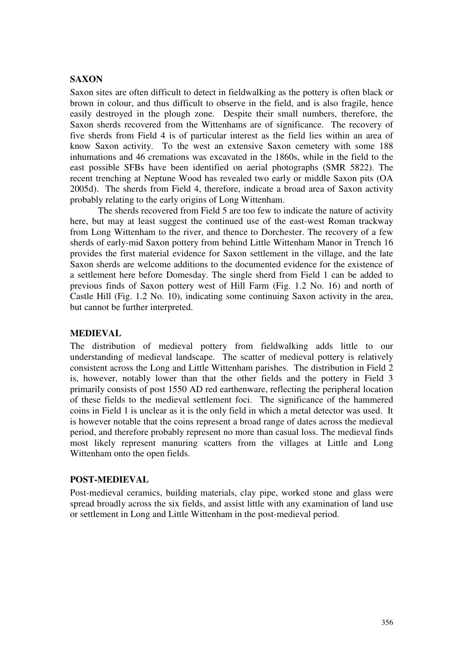# **SAXON**

Saxon sites are often difficult to detect in fieldwalking as the pottery is often black or brown in colour, and thus difficult to observe in the field, and is also fragile, hence easily destroyed in the plough zone. Despite their small numbers, therefore, the Saxon sherds recovered from the Wittenhams are of significance. The recovery of five sherds from Field 4 is of particular interest as the field lies within an area of know Saxon activity. To the west an extensive Saxon cemetery with some 188 inhumations and 46 cremations was excavated in the 1860s, while in the field to the east possible SFBs have been identified on aerial photographs (SMR 5822). The recent trenching at Neptune Wood has revealed two early or middle Saxon pits (OA 2005d). The sherds from Field 4, therefore, indicate a broad area of Saxon activity probably relating to the early origins of Long Wittenham.

The sherds recovered from Field 5 are too few to indicate the nature of activity here, but may at least suggest the continued use of the east-west Roman trackway from Long Wittenham to the river, and thence to Dorchester. The recovery of a few sherds of early-mid Saxon pottery from behind Little Wittenham Manor in Trench 16 provides the first material evidence for Saxon settlement in the village, and the late Saxon sherds are welcome additions to the documented evidence for the existence of a settlement here before Domesday. The single sherd from Field 1 can be added to previous finds of Saxon pottery west of Hill Farm (Fig. 1.2 No. 16) and north of Castle Hill (Fig. 1.2 No. 10), indicating some continuing Saxon activity in the area, but cannot be further interpreted.

## **MEDIEVAL**

The distribution of medieval pottery from fieldwalking adds little to our understanding of medieval landscape. The scatter of medieval pottery is relatively consistent across the Long and Little Wittenham parishes. The distribution in Field 2 is, however, notably lower than that the other fields and the pottery in Field 3 primarily consists of post 1550 AD red earthenware, reflecting the peripheral location of these fields to the medieval settlement foci. The significance of the hammered coins in Field 1 is unclear as it is the only field in which a metal detector was used. It is however notable that the coins represent a broad range of dates across the medieval period, and therefore probably represent no more than casual loss. The medieval finds most likely represent manuring scatters from the villages at Little and Long Wittenham onto the open fields.

## **POST-MEDIEVAL**

Post-medieval ceramics, building materials, clay pipe, worked stone and glass were spread broadly across the six fields, and assist little with any examination of land use or settlement in Long and Little Wittenham in the post-medieval period.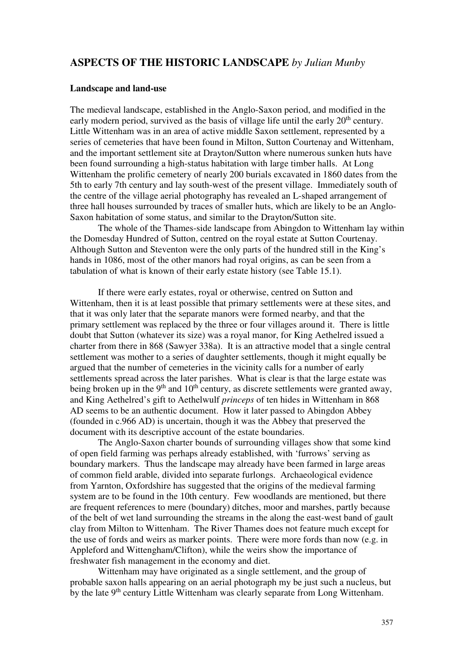# **ASPECTS OF THE HISTORIC LANDSCAPE** *by Julian Munby*

#### **Landscape and land-use**

The medieval landscape, established in the Anglo-Saxon period, and modified in the early modern period, survived as the basis of village life until the early  $20<sup>th</sup>$  century. Little Wittenham was in an area of active middle Saxon settlement, represented by a series of cemeteries that have been found in Milton, Sutton Courtenay and Wittenham, and the important settlement site at Drayton/Sutton where numerous sunken huts have been found surrounding a high-status habitation with large timber halls. At Long Wittenham the prolific cemetery of nearly 200 burials excavated in 1860 dates from the 5th to early 7th century and lay south-west of the present village. Immediately south of the centre of the village aerial photography has revealed an L-shaped arrangement of three hall houses surrounded by traces of smaller huts, which are likely to be an Anglo-Saxon habitation of some status, and similar to the Drayton/Sutton site.

The whole of the Thames-side landscape from Abingdon to Wittenham lay within the Domesday Hundred of Sutton, centred on the royal estate at Sutton Courtenay. Although Sutton and Steventon were the only parts of the hundred still in the King's hands in 1086, most of the other manors had royal origins, as can be seen from a tabulation of what is known of their early estate history (see Table 15.1).

 If there were early estates, royal or otherwise, centred on Sutton and Wittenham, then it is at least possible that primary settlements were at these sites, and that it was only later that the separate manors were formed nearby, and that the primary settlement was replaced by the three or four villages around it. There is little doubt that Sutton (whatever its size) was a royal manor, for King Aethelred issued a charter from there in 868 (Sawyer 338a). It is an attractive model that a single central settlement was mother to a series of daughter settlements, though it might equally be argued that the number of cemeteries in the vicinity calls for a number of early settlements spread across the later parishes. What is clear is that the large estate was being broken up in the 9<sup>th</sup> and 10<sup>th</sup> century, as discrete settlements were granted away, and King Aethelred's gift to Aethelwulf *princeps* of ten hides in Wittenham in 868 AD seems to be an authentic document. How it later passed to Abingdon Abbey (founded in c.966 AD) is uncertain, though it was the Abbey that preserved the document with its descriptive account of the estate boundaries.

The Anglo-Saxon charter bounds of surrounding villages show that some kind of open field farming was perhaps already established, with 'furrows' serving as boundary markers. Thus the landscape may already have been farmed in large areas of common field arable, divided into separate furlongs. Archaeological evidence from Yarnton, Oxfordshire has suggested that the origins of the medieval farming system are to be found in the 10th century. Few woodlands are mentioned, but there are frequent references to mere (boundary) ditches, moor and marshes, partly because of the belt of wet land surrounding the streams in the along the east-west band of gault clay from Milton to Wittenham. The River Thames does not feature much except for the use of fords and weirs as marker points. There were more fords than now (e.g. in Appleford and Wittengham/Clifton), while the weirs show the importance of freshwater fish management in the economy and diet.

Wittenham may have originated as a single settlement, and the group of probable saxon halls appearing on an aerial photograph my be just such a nucleus, but by the late 9<sup>th</sup> century Little Wittenham was clearly separate from Long Wittenham.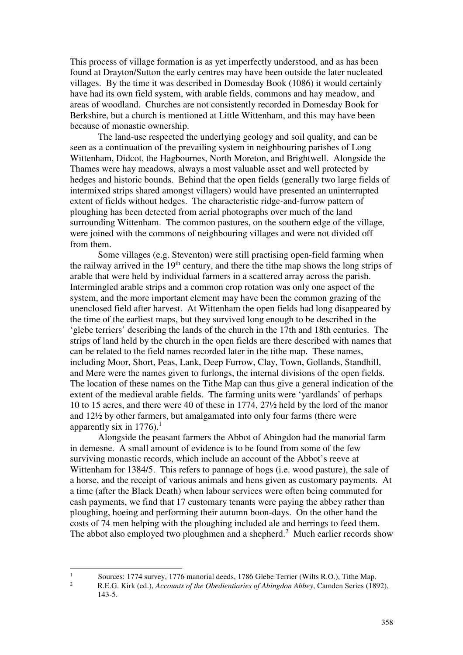This process of village formation is as yet imperfectly understood, and as has been found at Drayton/Sutton the early centres may have been outside the later nucleated villages. By the time it was described in Domesday Book (1086) it would certainly have had its own field system, with arable fields, commons and hay meadow, and areas of woodland. Churches are not consistently recorded in Domesday Book for Berkshire, but a church is mentioned at Little Wittenham, and this may have been because of monastic ownership.

The land-use respected the underlying geology and soil quality, and can be seen as a continuation of the prevailing system in neighbouring parishes of Long Wittenham, Didcot, the Hagbournes, North Moreton, and Brightwell. Alongside the Thames were hay meadows, always a most valuable asset and well protected by hedges and historic bounds. Behind that the open fields (generally two large fields of intermixed strips shared amongst villagers) would have presented an uninterrupted extent of fields without hedges. The characteristic ridge-and-furrow pattern of ploughing has been detected from aerial photographs over much of the land surrounding Wittenham. The common pastures, on the southern edge of the village, were joined with the commons of neighbouring villages and were not divided off from them.

Some villages (e.g. Steventon) were still practising open-field farming when the railway arrived in the  $19<sup>th</sup>$  century, and there the tithe map shows the long strips of arable that were held by individual farmers in a scattered array across the parish. Intermingled arable strips and a common crop rotation was only one aspect of the system, and the more important element may have been the common grazing of the unenclosed field after harvest. At Wittenham the open fields had long disappeared by the time of the earliest maps, but they survived long enough to be described in the 'glebe terriers' describing the lands of the church in the 17th and 18th centuries. The strips of land held by the church in the open fields are there described with names that can be related to the field names recorded later in the tithe map. These names, including Moor, Short, Peas, Lank, Deep Furrow, Clay, Town, Gollands, Standhill, and Mere were the names given to furlongs, the internal divisions of the open fields. The location of these names on the Tithe Map can thus give a general indication of the extent of the medieval arable fields. The farming units were 'yardlands' of perhaps 10 to 15 acres, and there were 40 of these in 1774, 27½ held by the lord of the manor and 12½ by other farmers, but amalgamated into only four farms (there were apparently six in 1776).<sup>1</sup>

Alongside the peasant farmers the Abbot of Abingdon had the manorial farm in demesne. A small amount of evidence is to be found from some of the few surviving monastic records, which include an account of the Abbot's reeve at Wittenham for 1384/5. This refers to pannage of hogs (i.e. wood pasture), the sale of a horse, and the receipt of various animals and hens given as customary payments. At a time (after the Black Death) when labour services were often being commuted for cash payments, we find that 17 customary tenants were paying the abbey rather than ploughing, hoeing and performing their autumn boon-days. On the other hand the costs of 74 men helping with the ploughing included ale and herrings to feed them. The abbot also employed two ploughmen and a shepherd.<sup>2</sup> Much earlier records show

|<br>|<br>|

2

Sources: 1774 survey, 1776 manorial deeds, 1786 Glebe Terrier (Wilts R.O.), Tithe Map.

R.E.G. Kirk (ed.), *Accounts of the Obedientiaries of Abingdon Abbey*, Camden Series (1892), 143-5.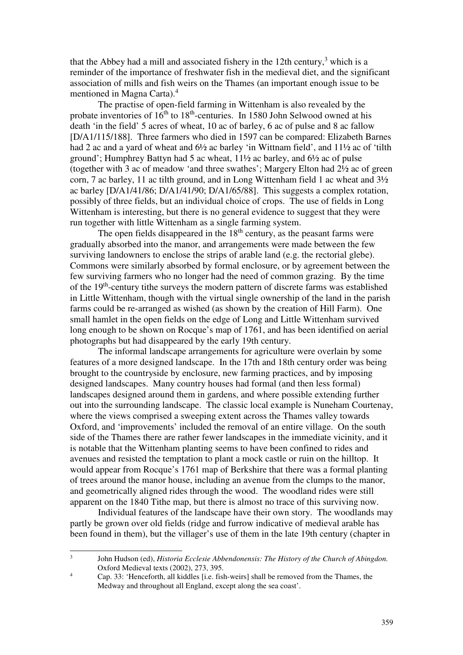that the Abbey had a mill and associated fishery in the 12th century,<sup>3</sup> which is a reminder of the importance of freshwater fish in the medieval diet, and the significant association of mills and fish weirs on the Thames (an important enough issue to be mentioned in Magna Carta).<sup>4</sup>

The practise of open-field farming in Wittenham is also revealed by the probate inventories of  $16<sup>th</sup>$  to  $18<sup>th</sup>$ -centuries. In 1580 John Selwood owned at his death 'in the field' 5 acres of wheat, 10 ac of barley, 6 ac of pulse and 8 ac fallow [D/A1/115/188]. Three farmers who died in 1597 can be compared: Elizabeth Barnes had 2 ac and a yard of wheat and  $6\frac{1}{2}$  ac barley 'in Wittnam field', and  $11\frac{1}{2}$  ac of 'tilth ground'; Humphrey Battyn had 5 ac wheat, 11½ ac barley, and 6½ ac of pulse (together with 3 ac of meadow 'and three swathes'; Margery Elton had 2½ ac of green corn, 7 ac barley, 11 ac tilth ground, and in Long Wittenham field 1 ac wheat and 3½ ac barley [D/A1/41/86; D/A1/41/90; D/A1/65/88]. This suggests a complex rotation, possibly of three fields, but an individual choice of crops. The use of fields in Long Wittenham is interesting, but there is no general evidence to suggest that they were run together with little Wittenham as a single farming system.

The open fields disappeared in the  $18<sup>th</sup>$  century, as the peasant farms were gradually absorbed into the manor, and arrangements were made between the few surviving landowners to enclose the strips of arable land (e.g. the rectorial glebe). Commons were similarly absorbed by formal enclosure, or by agreement between the few surviving farmers who no longer had the need of common grazing. By the time of the 19th-century tithe surveys the modern pattern of discrete farms was established in Little Wittenham, though with the virtual single ownership of the land in the parish farms could be re-arranged as wished (as shown by the creation of Hill Farm). One small hamlet in the open fields on the edge of Long and Little Wittenham survived long enough to be shown on Rocque's map of 1761, and has been identified on aerial photographs but had disappeared by the early 19th century.

The informal landscape arrangements for agriculture were overlain by some features of a more designed landscape. In the 17th and 18th century order was being brought to the countryside by enclosure, new farming practices, and by imposing designed landscapes. Many country houses had formal (and then less formal) landscapes designed around them in gardens, and where possible extending further out into the surrounding landscape. The classic local example is Nuneham Courtenay, where the views comprised a sweeping extent across the Thames valley towards Oxford, and 'improvements' included the removal of an entire village. On the south side of the Thames there are rather fewer landscapes in the immediate vicinity, and it is notable that the Wittenham planting seems to have been confined to rides and avenues and resisted the temptation to plant a mock castle or ruin on the hilltop. It would appear from Rocque's 1761 map of Berkshire that there was a formal planting of trees around the manor house, including an avenue from the clumps to the manor, and geometrically aligned rides through the wood. The woodland rides were still apparent on the 1840 Tithe map, but there is almost no trace of this surviving now.

Individual features of the landscape have their own story. The woodlands may partly be grown over old fields (ridge and furrow indicative of medieval arable has been found in them), but the villager's use of them in the late 19th century (chapter in

 3 John Hudson (ed), *Historia Ecclesie Abbendonensis: The History of the Church of Abingdon.* Oxford Medieval texts (2002), 273, 395.

<sup>4</sup> Cap. 33: 'Henceforth, all kiddles [i.e. fish-weirs] shall be removed from the Thames, the Medway and throughout all England, except along the sea coast'.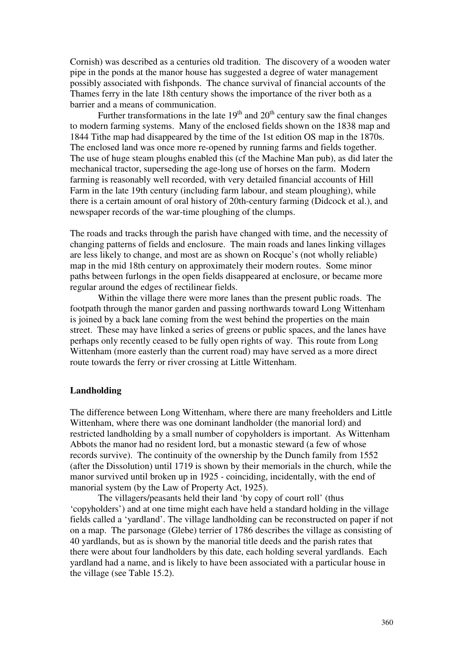Cornish) was described as a centuries old tradition. The discovery of a wooden water pipe in the ponds at the manor house has suggested a degree of water management possibly associated with fishponds. The chance survival of financial accounts of the Thames ferry in the late 18th century shows the importance of the river both as a barrier and a means of communication.

Further transformations in the late  $19<sup>th</sup>$  and  $20<sup>th</sup>$  century saw the final changes to modern farming systems. Many of the enclosed fields shown on the 1838 map and 1844 Tithe map had disappeared by the time of the 1st edition OS map in the 1870s. The enclosed land was once more re-opened by running farms and fields together. The use of huge steam ploughs enabled this (cf the Machine Man pub), as did later the mechanical tractor, superseding the age-long use of horses on the farm. Modern farming is reasonably well recorded, with very detailed financial accounts of Hill Farm in the late 19th century (including farm labour, and steam ploughing), while there is a certain amount of oral history of 20th-century farming (Didcock et al.), and newspaper records of the war-time ploughing of the clumps.

The roads and tracks through the parish have changed with time, and the necessity of changing patterns of fields and enclosure. The main roads and lanes linking villages are less likely to change, and most are as shown on Rocque's (not wholly reliable) map in the mid 18th century on approximately their modern routes. Some minor paths between furlongs in the open fields disappeared at enclosure, or became more regular around the edges of rectilinear fields.

Within the village there were more lanes than the present public roads. The footpath through the manor garden and passing northwards toward Long Wittenham is joined by a back lane coming from the west behind the properties on the main street. These may have linked a series of greens or public spaces, and the lanes have perhaps only recently ceased to be fully open rights of way. This route from Long Wittenham (more easterly than the current road) may have served as a more direct route towards the ferry or river crossing at Little Wittenham.

### **Landholding**

The difference between Long Wittenham, where there are many freeholders and Little Wittenham, where there was one dominant landholder (the manorial lord) and restricted landholding by a small number of copyholders is important. As Wittenham Abbots the manor had no resident lord, but a monastic steward (a few of whose records survive). The continuity of the ownership by the Dunch family from 1552 (after the Dissolution) until 1719 is shown by their memorials in the church, while the manor survived until broken up in 1925 - coinciding, incidentally, with the end of manorial system (by the Law of Property Act, 1925).

The villagers/peasants held their land 'by copy of court roll' (thus 'copyholders') and at one time might each have held a standard holding in the village fields called a 'yardland'. The village landholding can be reconstructed on paper if not on a map. The parsonage (Glebe) terrier of 1786 describes the village as consisting of 40 yardlands, but as is shown by the manorial title deeds and the parish rates that there were about four landholders by this date, each holding several yardlands. Each yardland had a name, and is likely to have been associated with a particular house in the village (see Table 15.2).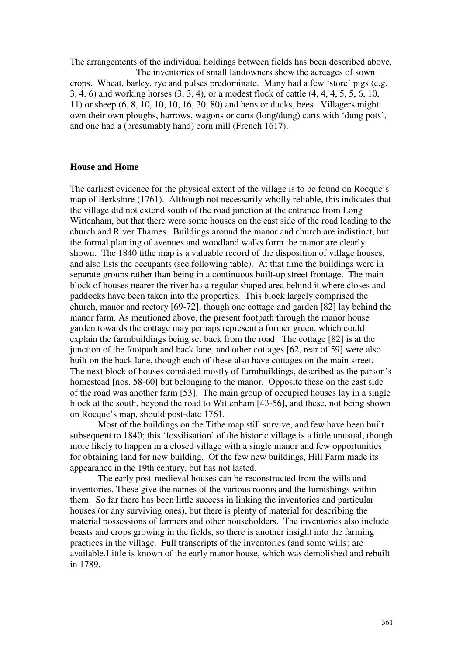The arrangements of the individual holdings between fields has been described above. The inventories of small landowners show the acreages of sown crops. Wheat, barley, rye and pulses predominate. Many had a few 'store' pigs (e.g. 3, 4, 6) and working horses (3, 3, 4), or a modest flock of cattle (4, 4, 4, 5, 5, 6, 10, 11) or sheep (6, 8, 10, 10, 10, 16, 30, 80) and hens or ducks, bees. Villagers might own their own ploughs, harrows, wagons or carts (long/dung) carts with 'dung pots', and one had a (presumably hand) corn mill (French 1617).

#### **House and Home**

The earliest evidence for the physical extent of the village is to be found on Rocque's map of Berkshire (1761). Although not necessarily wholly reliable, this indicates that the village did not extend south of the road junction at the entrance from Long Wittenham, but that there were some houses on the east side of the road leading to the church and River Thames. Buildings around the manor and church are indistinct, but the formal planting of avenues and woodland walks form the manor are clearly shown. The 1840 tithe map is a valuable record of the disposition of village houses, and also lists the occupants (see following table). At that time the buildings were in separate groups rather than being in a continuous built-up street frontage. The main block of houses nearer the river has a regular shaped area behind it where closes and paddocks have been taken into the properties. This block largely comprised the church, manor and rectory [69-72], though one cottage and garden [82] lay behind the manor farm. As mentioned above, the present footpath through the manor house garden towards the cottage may perhaps represent a former green, which could explain the farmbuildings being set back from the road. The cottage [82] is at the junction of the footpath and back lane, and other cottages [62, rear of 59] were also built on the back lane, though each of these also have cottages on the main street. The next block of houses consisted mostly of farmbuildings, described as the parson's homestead [nos. 58-60] but belonging to the manor. Opposite these on the east side of the road was another farm [53]. The main group of occupied houses lay in a single block at the south, beyond the road to Wittenham [43-56], and these, not being shown on Rocque's map, should post-date 1761.

Most of the buildings on the Tithe map still survive, and few have been built subsequent to 1840; this 'fossilisation' of the historic village is a little unusual, though more likely to happen in a closed village with a single manor and few opportunities for obtaining land for new building. Of the few new buildings, Hill Farm made its appearance in the 19th century, but has not lasted.

The early post-medieval houses can be reconstructed from the wills and inventories. These give the names of the various rooms and the furnishings within them. So far there has been little success in linking the inventories and particular houses (or any surviving ones), but there is plenty of material for describing the material possessions of farmers and other householders. The inventories also include beasts and crops growing in the fields, so there is another insight into the farming practices in the village. Full transcripts of the inventories (and some wills) are available.Little is known of the early manor house, which was demolished and rebuilt in 1789.